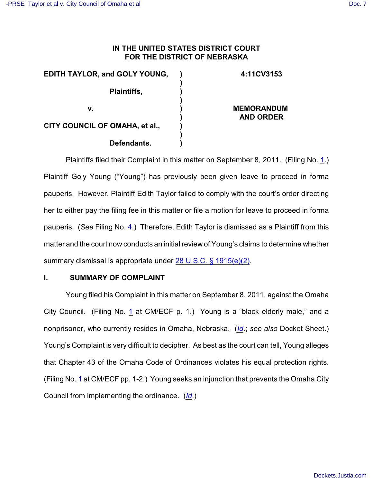## **IN THE UNITED STATES DISTRICT COURT FOR THE DISTRICT OF NEBRASKA**

| <b>EDITH TAYLOR, and GOLY YOUNG,</b> | 4:11CV3153        |
|--------------------------------------|-------------------|
|                                      |                   |
| Plaintiffs,                          |                   |
|                                      |                   |
| v.                                   | <b>MEMORANDUM</b> |
|                                      | <b>AND ORDER</b>  |
| CITY COUNCIL OF OMAHA, et al.,       |                   |
|                                      |                   |
| Defendants.                          |                   |

Plaintiffs filed their Complaint in this matter on September 8, 2011. (Filing No. [1](http://ecf.ned.uscourts.gov/doc1/11302352073).) Plaintiff Goly Young ("Young") has previously been given leave to proceed in forma pauperis. However, Plaintiff Edith Taylor failed to comply with the court's order directing her to either pay the filing fee in this matter or file a motion for leave to proceed in forma pauperis. (*See* Filing No. [4](http://ecf.ned.uscourts.gov/doc1/11302355373).) Therefore, Edith Taylor is dismissed as a Plaintiff from this matter and the court now conducts an initial review of Young's claims to determine whether summary dismissal is appropriate under [28 U.S.C. § 1915\(e\)\(2\)](http://web2.westlaw.com/find/default.wl?rs=CLWP3.0&vr=2.0&cite=28+USCA+ss+1915%28e%29&ssl=n).

## **I. SUMMARY OF COMPLAINT**

Young filed his Complaint in this matter on September 8, 2011, against the Omaha City Council. (Filing No. [1](http://ecf.ned.uscourts.gov/doc1/11302352073) at CM/ECF p. 1.) Young is a "black elderly male," and a nonprisoner, who currently resides in Omaha, Nebraska. (*[Id](https://ecf.ned.uscourts.gov/doc1/11312352073)*.; *see also* Docket Sheet.) Young's Complaint is very difficult to decipher. As best as the court can tell, Young alleges that Chapter 43 of the Omaha Code of Ordinances violates his equal protection rights. (Filing No. [1](http://ecf.ned.uscourts.gov/doc1/11302352073) at CM/ECF pp. 1-2.) Young seeks an injunction that prevents the Omaha City Council from implementing the ordinance. (*[Id](https://ecf.ned.uscourts.gov/doc1/11312352073)*.)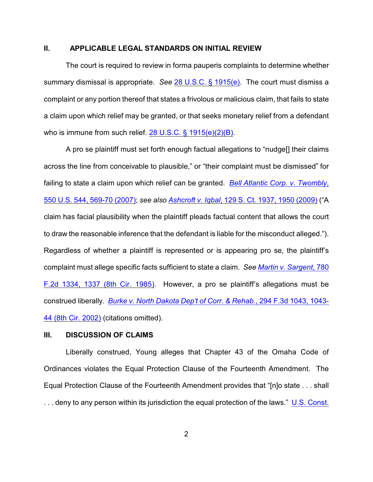## **II. APPLICABLE LEGAL STANDARDS ON INITIAL REVIEW**

The court is required to review in forma pauperis complaints to determine whether summary dismissal is appropriate. *See* [28 U.S.C. § 1915\(e\)](http://www.westlaw.com/find/default.wl?rs=CLWP3.0&vr=2.0&cite=28+USCA+ss+1915%28e%29). The court must dismiss a complaint or any portion thereof that states a frivolous or malicious claim, that fails to state a claim upon which relief may be granted, or that seeks monetary relief from a defendant who is immune from such relief. [28 U.S.C. § 1915\(e\)\(2\)\(B\)](http://www.westlaw.com/find/default.wl?rs=CLWP3.0&vr=2.0&cite=28+USCA+s+1915%28e%29%282%29%28B%29).

A pro se plaintiff must set forth enough factual allegations to "nudge[] their claims across the line from conceivable to plausible," or "their complaint must be dismissed" for failing to state a claim upon which relief can be granted. *[Bell Atlantic Corp. v. Twombly](http://web2.westlaw.com/find/default.wl?fn=_top&rs=WLW9.08&rp=%2ffind%2fdefault.wl&ifm=NotSet&vr=2.0&sv=Split&cite=550+us+569)*, [550 U.S. 544, 569-70 \(2007\)](http://web2.westlaw.com/find/default.wl?fn=_top&rs=WLW9.08&rp=%2ffind%2fdefault.wl&ifm=NotSet&vr=2.0&sv=Split&cite=550+us+569); *see also Ashcroft v. Iqbal*[, 129 S. Ct. 1937, 1950 \(2009\)](http://web2.westlaw.com/find/default.wl?rs=WLW9.10&ifm=NotSet&fn=_top&sv=Split&cite=129+s+ct+1950&vr=2.0&rp=%2ffind%2fdefault.wl&pbc=074303F9) ("A claim has facial plausibility when the plaintiff pleads factual content that allows the court to draw the reasonable inference that the defendant is liable for the misconduct alleged."). Regardless of whether a plaintiff is represented or is appearing pro se, the plaintiff's complaint must allege specific facts sufficient to state a claim. *See [Martin v. Sargent](http://www.westlaw.com/find/default.wl?rs=CLWP3.0&vr=2.0&cite=780+F.2d+1334)*, 780 F.2d 1334, 1337 (8th [Cir. 1985\)](http://www.westlaw.com/find/default.wl?rs=CLWP3.0&vr=2.0&cite=780+F.2d+1334). However, a pro se plaintiff's allegations must be construed liberally. *[Burke v. North Dakota Dep't of Corr. & Rehab.](http://www.westlaw.com/find/default.wl?rs=CLWP3.0&vr=2.0&cite=294+F.3d+1043)*, 294 F.3d 1043, 1043- [44 \(8th Cir. 2002\)](http://www.westlaw.com/find/default.wl?rs=CLWP3.0&vr=2.0&cite=294+F.3d+1043) (citations omitted).

## **III. DISCUSSION OF CLAIMS**

Liberally construed, Young alleges that Chapter 43 of the Omaha Code of Ordinances violates the Equal Protection Clause of the Fourteenth Amendment. The Equal Protection Clause of the Fourteenth Amendment provides that "[n]o state . . . shall ... deny to any person within its jurisdiction the equal protection of the laws." [U.S. Const.](http://web2.westlaw.com/find/default.wl?rs=WLW11.10&rp=%2ffind%2fdefault.wl&vr=2.0&fn=_top&mt=Westlaw&cite=U.S.+Const.+amend.+XIV%2c+%C2%A7+1&sv=Split)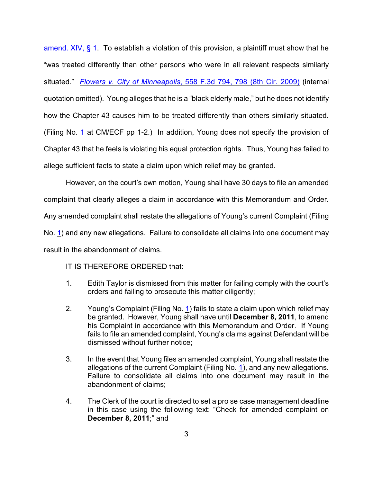amend. XIV,  $\S$  1. To establish a violation of this provision, a plaintiff must show that he "was treated differently than other persons who were in all relevant respects similarly situated." *Flowers v. City of Minneapolis*[, 558 F.3d 794, 798 \(8th Cir. 2009\)](http://web2.westlaw.com/find/default.wl?rs=WLW11.10&rp=%2ffind%2fdefault.wl&vr=2.0&fn=_top&mt=Westlaw&cite=558+F.3d+798&sv=Split) (internal quotation omitted). Young alleges that he is a "black elderly male," but he does not identify how the Chapter 43 causes him to be treated differently than others similarly situated. (Filing No. [1](http://ecf.ned.uscourts.gov/doc1/11302352073) at CM/ECF pp 1-2.) In addition, Young does not specify the provision of Chapter 43 that he feels is violating his equal protection rights. Thus, Young has failed to allege sufficient facts to state a claim upon which relief may be granted.

However, on the court's own motion, Young shall have 30 days to file an amended complaint that clearly alleges a claim in accordance with this Memorandum and Order. Any amended complaint shall restate the allegations of Young's current Complaint (Filing No. [1](https://ecf.ned.uscourts.gov/doc1/11312352073)) and any new allegations. Failure to consolidate all claims into one document may result in the abandonment of claims.

IT IS THEREFORE ORDERED that:

- 1. Edith Taylor is dismissed from this matter for failing comply with the court's orders and failing to prosecute this matter diligently;
- 2. Young's Complaint (Filing No. [1](https://ecf.ned.uscourts.gov/doc1/11312352073)) fails to state a claim upon which relief may be granted. However, Young shall have until **December 8, 2011**, to amend his Complaint in accordance with this Memorandum and Order. If Young fails to file an amended complaint, Young's claims against Defendant will be dismissed without further notice;
- 3. In the event that Young files an amended complaint, Young shall restate the allegations of the current Complaint (Filing No. [1](https://ecf.ned.uscourts.gov/doc1/11312352073)), and any new allegations. Failure to consolidate all claims into one document may result in the abandonment of claims;
- 4. The Clerk of the court is directed to set a pro se case management deadline in this case using the following text: "Check for amended complaint on **December 8, 2011**;" and